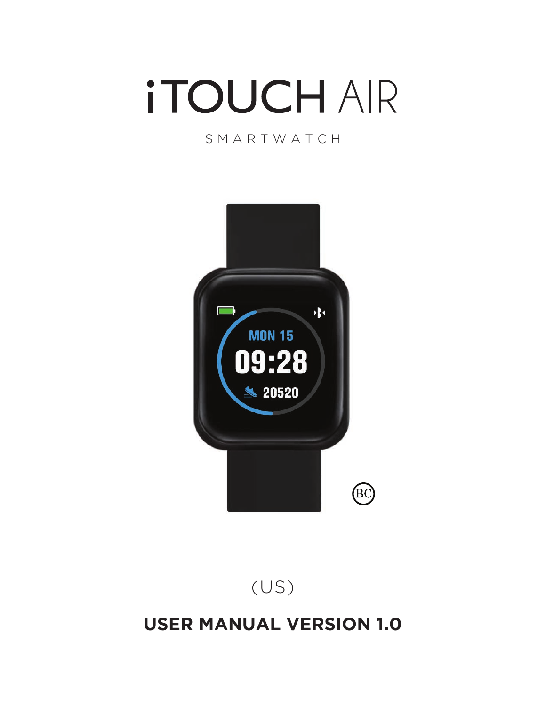# **ITOUCH AIR**

## SMARTWATCH



(US)

# **USER MANUAL VERSION 1.0**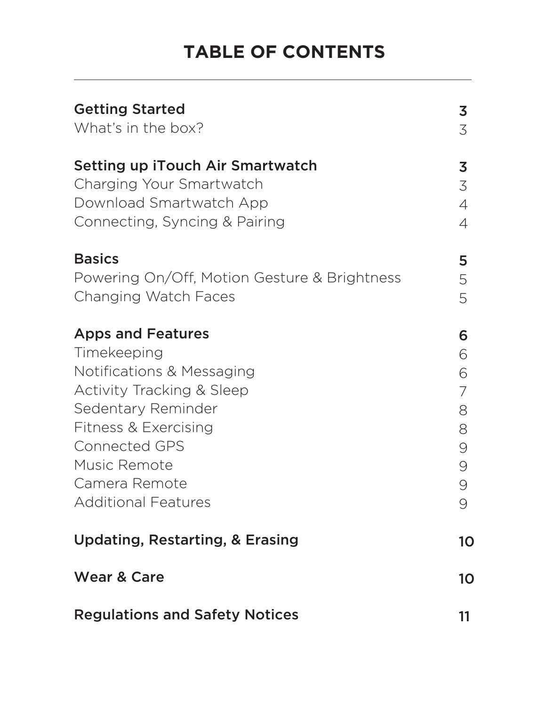# **TABLE OF CONTENTS**

| <b>Getting Started</b>                       | 3              |
|----------------------------------------------|----------------|
| What's in the box?                           | 3              |
| Setting up iTouch Air Smartwatch             | 3              |
| Charging Your Smartwatch                     | 3              |
| Download Smartwatch App                      | $\overline{4}$ |
| Connecting, Syncing & Pairing                | 4              |
| <b>Basics</b>                                | 5              |
| Powering On/Off, Motion Gesture & Brightness | 5              |
| Changing Watch Faces                         | 5              |
| <b>Apps and Features</b>                     | 6              |
| Timekeeping                                  | 6              |
| Notifications & Messaging                    | 6              |
| Activity Tracking & Sleep                    | 7              |
| Sedentary Reminder                           | 8              |
| Fitness & Exercising                         | 8              |
| <b>Connected GPS</b>                         | 9              |
| Music Remote                                 | 9              |
| Camera Remote                                | 9              |
| <b>Additional Features</b>                   | 9              |
| <b>Updating, Restarting, &amp; Erasing</b>   | 10             |
| <b>Wear &amp; Care</b>                       | 10             |
| <b>Regulations and Safety Notices</b>        | 11             |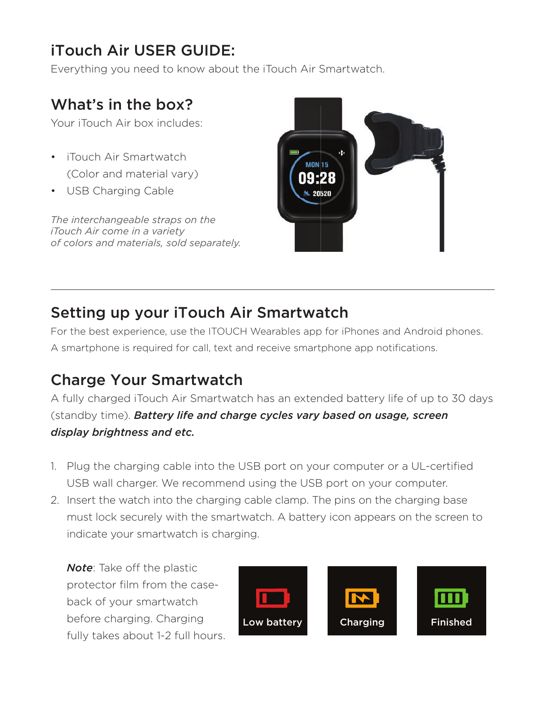# iTouch Air USER GUIDE:

Everything you need to know about the iTouch Air Smartwatch.

## What's in the box?

Your iTouch Air box includes:

- iTouch Air Smartwatch (Color and material vary)
- USB Charging Cable

*The interchangeable straps on the iTouch Air come in a variety of colors and materials, sold separately.*



## Setting up your iTouch Air Smartwatch

For the best experience, use the ITOUCH Wearables app for iPhones and Android phones. A smartphone is required for call, text and receive smartphone app notifications.

## Charge Your Smartwatch

A fully charged iTouch Air Smartwatch has an extended battery life of up to 30 days (standby time). *Battery life and charge cycles vary based on usage, screen display brightness and etc.*

- 1. Plug the charging cable into the USB port on your computer or a UL-certified USB wall charger. We recommend using the USB port on your computer.
- 2. Insert the watch into the charging cable clamp. The pins on the charging base must lock securely with the smartwatch. A battery icon appears on the screen to indicate your smartwatch is charging.

*Note*: Take off the plastic protector film from the caseback of your smartwatch before charging. Charging fully takes about 1-2 full hours.



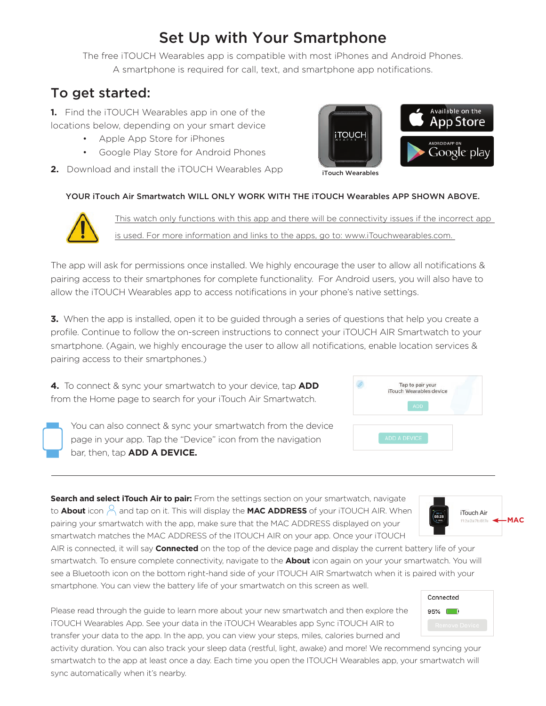## Set Up with Your Smartphone

The free iTOUCH Wearables app is compatible with most iPhones and Android Phones. A smartphone is required for call, text, and smartphone app notifications.

## To get started:

**1.** Find the iTOUCH Wearables app in one of the locations below, depending on your smart device

- Apple App Store for iPhones
- Google Play Store for Android Phones
- **2.** Download and install the iTOUCH Wearables App

#### YOUR iTouch Air Smartwatch WILL ONLY WORK WITH THE iTOUCH Wearables APP SHOWN ABOVE.



This watch only functions with this app and there will be connectivity issues if the incorrect app is used. For more information and links to the apps, go to: www.iTouchwearables.com.

The app will ask for permissions once installed. We highly encourage the user to allow all notifications & pairing access to their smartphones for complete functionality. For Android users, you will also have to allow the iTOUCH Wearables app to access notifications in your phone's native settings.

**3.** When the app is installed, open it to be guided through a series of questions that help you create a profile. Continue to follow the on-screen instructions to connect your iTOUCH AIR Smartwatch to your smartphone. (Again, we highly encourage the user to allow all notifications, enable location services & pairing access to their smartphones.)

**4.** To connect & sync your smartwatch to your device, tap **ADD** from the Home page to search for your iTouch Air Smartwatch.



You can also connect & sync your smartwatch from the device page in your app. Tap the "Device" icon from the navigation bar, then, tap **ADD A DEVICE.** 

**Search and select iTouch Air to pair:** From the settings section on your smartwatch, navigate to **About** icon  $\beta$  and tap on it. This will display the **MAC ADDRESS** of your iTOUCH AIR. When pairing your smartwatch with the app, make sure that the MAC ADDRESS displayed on your smartwatch matches the MAC ADDRESS of the ITOUCH AIR on your app. Once your iTOUCH

AIR is connected, it will say **Connected** on the top of the device page and display the current battery life of your smartwatch. To ensure complete connectivity, navigate to the **About** icon again on your your smartwatch. You will see a Bluetooth icon on the bottom right-hand side of your ITOUCH AIR Smartwatch when it is paired with your smartphone. You can view the battery life of your smartwatch on this screen as well.

Please read through the guide to learn more about your new smartwatch and then explore the iTOUCH Wearables App. See your data in the iTOUCH Wearables app Sync iTOUCH AIR to transfer your data to the app. In the app, you can view your steps, miles, calories burned and

activity duration. You can also track your sleep data (restful, light, awake) and more! We recommend syncing your smartwatch to the app at least once a day. Each time you open the ITOUCH Wearables app, your smartwatch will sync automatically when it's nearby.





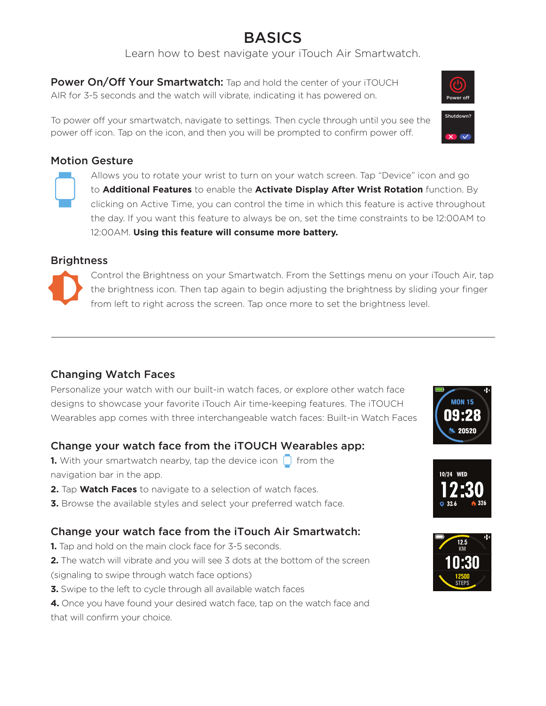## BASICS

Learn how to best navigate your iTouch Air Smartwatch.

**Power On/Off Your Smartwatch:** Tap and hold the center of your iTOUCH AIR for 3-5 seconds and the watch will vibrate, indicating it has powered on.

To power off your smartwatch, navigate to settings. Then cycle through until you see the power off icon. Tap on the icon, and then you will be prompted to confirm power off.

#### Motion Gesture

Allows you to rotate your wrist to turn on your watch screen. Tap "Device" icon and go to **Additional Features** to enable the **Activate Display After Wrist Rotation** function. By clicking on Active Time, you can control the time in which this feature is active throughout the day. If you want this feature to always be on, set the time constraints to be 12:00AM to 12:00AM. **Using this feature will consume more battery.**

#### **Brightness**

Control the Brightness on your Smartwatch. From the Settings menu on your iTouch Air, tap the brightness icon. Then tap again to begin adjusting the brightness by sliding your finger from left to right across the screen. Tap once more to set the brightness level.

## Changing Watch Faces

Personalize your watch with our built-in watch faces, or explore other watch face designs to showcase your favorite iTouch Air time-keeping features. The iTOUCH Wearables app comes with three interchangeable watch faces: Built-in Watch Faces

## Change your watch face from the iTOUCH Wearables app:

**1.** With your smartwatch nearby, tap the device icon  $\Box$  from the navigation bar in the app.

- **2.** Tap **Watch Faces** to navigate to a selection of watch faces.
- **3.** Browse the available styles and select your preferred watch face.

### Change your watch face from the iTouch Air Smartwatch:

- **1.** Tap and hold on the main clock face for 3-5 seconds.
- **2.** The watch will vibrate and you will see 3 dots at the bottom of the screen
- (signaling to swipe through watch face options)
- **3.** Swipe to the left to cycle through all available watch faces
- **4.** Once you have found your desired watch face, tap on the watch face and that will confirm your choice.









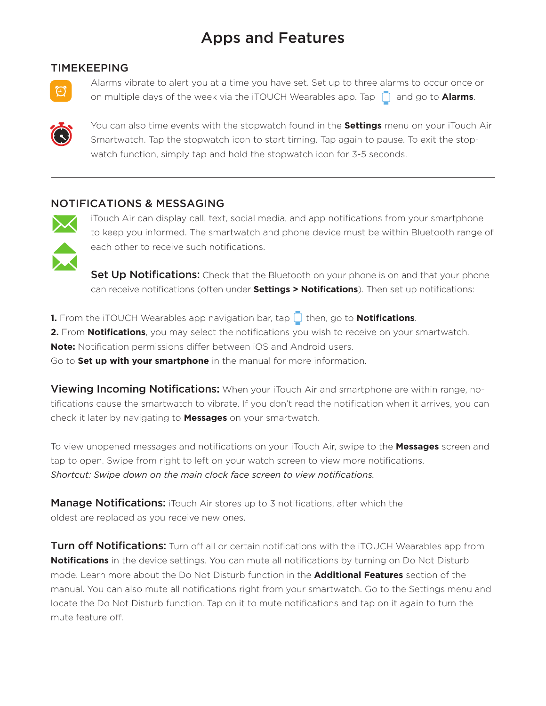## Apps and Features

#### TIMEKEEPING



Alarms vibrate to alert you at a time you have set. Set up to three alarms to occur once or on multiple days of the week via the iTOUCH Wearables app. Tap and go to **Alarms**.



You can also time events with the stopwatch found in the **Settings** menu on your iTouch Air Smartwatch. Tap the stopwatch icon to start timing. Tap again to pause. To exit the stopwatch function, simply tap and hold the stopwatch icon for 3-5 seconds.

#### NOTIFICATIONS & MESSAGING



iTouch Air can display call, text, social media, and app notifications from your smartphone to keep you informed. The smartwatch and phone device must be within Bluetooth range of each other to receive such notifications.

Set Up Notifications: Check that the Bluetooth on your phone is on and that your phone can receive notifications (often under **Settings > Notifications**). Then set up notifications:

**1.** From the iTOUCH Wearables app navigation bar, tap **then**, go to **Notifications**. **2.** From **Notifications**, you may select the notifications you wish to receive on your smartwatch. **Note:** Notification permissions differ between iOS and Android users. Go to **Set up with your smartphone** in the manual for more information.

**Viewing Incoming Notifications:** When your iTouch Air and smartphone are within range, notifications cause the smartwatch to vibrate. If you don't read the notification when it arrives, you can check it later by navigating to **Messages** on your smartwatch.

To view unopened messages and notifications on your iTouch Air, swipe to the **Messages** screen and tap to open. Swipe from right to left on your watch screen to view more notifications. *Shortcut: Swipe down on the main clock face screen to view notifications.* 

**Manage Notifications:** iTouch Air stores up to 3 notifications, after which the oldest are replaced as you receive new ones.

Turn off Notifications: Turn off all or certain notifications with the iTOUCH Wearables app from **Notifications** in the device settings. You can mute all notifications by turning on Do Not Disturb mode. Learn more about the Do Not Disturb function in the **Additional Features** section of the manual. You can also mute all notifications right from your smartwatch. Go to the Settings menu and locate the Do Not Disturb function. Tap on it to mute notifications and tap on it again to turn the mute feature off.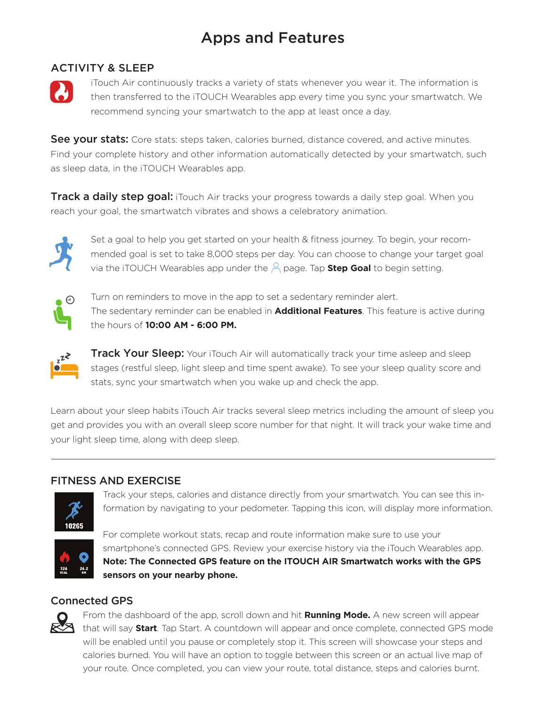## Apps and Features

#### ACTIVITY & SLEEP



iTouch Air continuously tracks a variety of stats whenever you wear it. The information is then transferred to the iTOUCH Wearables app every time you sync your smartwatch. We recommend syncing your smartwatch to the app at least once a day.

See your stats: Core stats: steps taken, calories burned, distance covered, and active minutes. Find your complete history and other information automatically detected by your smartwatch, such as sleep data, in the iTOUCH Wearables app.

**Track a daily step goal:** iTouch Air tracks your progress towards a daily step goal. When you reach your goal, the smartwatch vibrates and shows a celebratory animation.



Set a goal to help you get started on your health & fitness journey. To begin, your recommended goal is set to take 8,000 steps per day. You can choose to change your target goal via the iTOUCH Wearables app under the  $\beta$  page. Tap **Step Goal** to begin setting.



Turn on reminders to move in the app to set a sedentary reminder alert. The sedentary reminder can be enabled in **Additional Features**. This feature is active during the hours of **10:00 AM - 6:00 PM.**



Track Your Sleep: Your iTouch Air will automatically track your time asleep and sleep stages (restful sleep, light sleep and time spent awake). To see your sleep quality score and stats, sync your smartwatch when you wake up and check the app.

Learn about your sleep habits iTouch Air tracks several sleep metrics including the amount of sleep you get and provides you with an overall sleep score number for that night. It will track your wake time and your light sleep time, along with deep sleep.

#### FITNESS AND EXERCISE



Track your steps, calories and distance directly from your smartwatch. You can see this information by navigating to your pedometer. Tapping this icon, will display more information.



For complete workout stats, recap and route information make sure to use your smartphone's connected GPS. Review your exercise history via the iTouch Wearables app. **Note: The Connected GPS feature on the ITOUCH AIR Smartwatch works with the GPS sensors on your nearby phone.**

#### Connected GPS



From the dashboard of the app, scroll down and hit **Running Mode.** A new screen will appear that will say **Start**. Tap Start. A countdown will appear and once complete, connected GPS mode will be enabled until you pause or completely stop it. This screen will showcase your steps and calories burned. You will have an option to toggle between this screen or an actual live map of your route. Once completed, you can view your route, total distance, steps and calories burnt.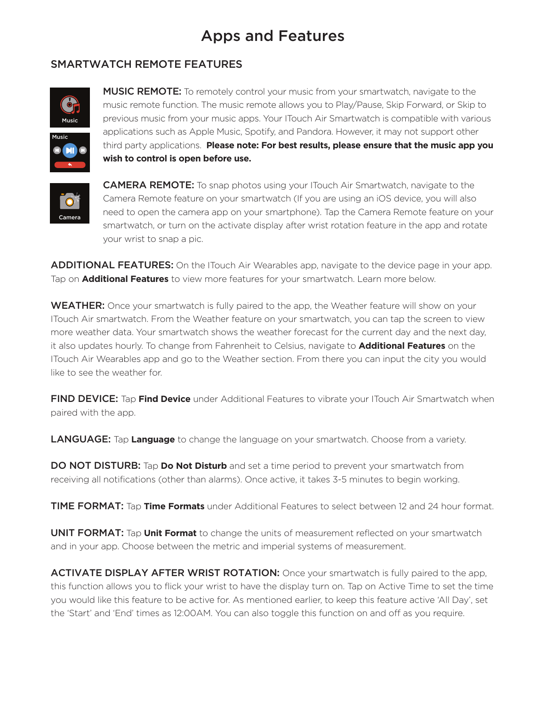## Apps and Features

#### SMARTWATCH REMOTE FEATURES





**MUSIC REMOTE:** To remotely control your music from your smartwatch, navigate to the music remote function. The music remote allows you to Play/Pause, Skip Forward, or Skip to previous music from your music apps. Your ITouch Air Smartwatch is compatible with various applications such as Apple Music, Spotify, and Pandora. However, it may not support other third party applications. **Please note: For best results, please ensure that the music app you wish to control is open before use.**



**CAMERA REMOTE:** To snap photos using your ITouch Air Smartwatch, navigate to the Camera Remote feature on your smartwatch (If you are using an iOS device, you will also need to open the camera app on your smartphone). Tap the Camera Remote feature on your smartwatch, or turn on the activate display after wrist rotation feature in the app and rotate your wrist to snap a pic.

ADDITIONAL FEATURES: On the ITouch Air Wearables app, navigate to the device page in your app. Tap on **Additional Features** to view more features for your smartwatch. Learn more below.

**WEATHER:** Once your smartwatch is fully paired to the app, the Weather feature will show on your ITouch Air smartwatch. From the Weather feature on your smartwatch, you can tap the screen to view more weather data. Your smartwatch shows the weather forecast for the current day and the next day, it also updates hourly. To change from Fahrenheit to Celsius, navigate to **Additional Features** on the ITouch Air Wearables app and go to the Weather section. From there you can input the city you would like to see the weather for.

FIND DEVICE: Tap **Find Device** under Additional Features to vibrate your ITouch Air Smartwatch when paired with the app.

LANGUAGE: Tap **Language** to change the language on your smartwatch. Choose from a variety.

**DO NOT DISTURB:** Tap **Do Not Disturb** and set a time period to prevent your smartwatch from receiving all notifications (other than alarms). Once active, it takes 3-5 minutes to begin working.

TIME FORMAT: Tap **Time Formats** under Additional Features to select between 12 and 24 hour format.

UNIT FORMAT: Tap **Unit Format** to change the units of measurement reflected on your smartwatch and in your app. Choose between the metric and imperial systems of measurement.

ACTIVATE DISPLAY AFTER WRIST ROTATION: Once your smartwatch is fully paired to the app, this function allows you to flick your wrist to have the display turn on. Tap on Active Time to set the time you would like this feature to be active for. As mentioned earlier, to keep this feature active 'All Day', set the 'Start' and 'End' times as 12:00AM. You can also toggle this function on and off as you require.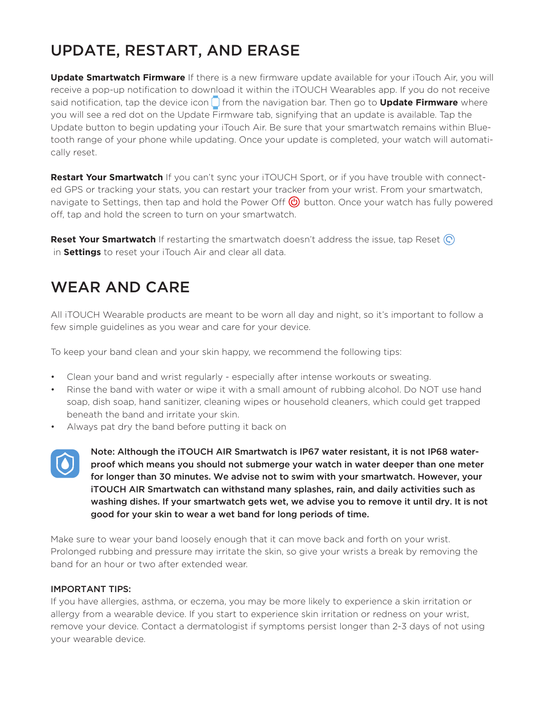## UPDATE, RESTART, AND ERASE

**Update Smartwatch Firmware** If there is a new firmware update available for your iTouch Air, you will receive a pop-up notification to download it within the iTOUCH Wearables app. If you do not receive said notification, tap the device icon  $\Box$  from the navigation bar. Then go to **Update Firmware** where you will see a red dot on the Update Firmware tab, signifying that an update is available. Tap the Update button to begin updating your iTouch Air. Be sure that your smartwatch remains within Bluetooth range of your phone while updating. Once your update is completed, your watch will automatically reset.

**Restart Your Smartwatch** If you can't sync your iTOUCH Sport, or if you have trouble with connected GPS or tracking your stats, you can restart your tracker from your wrist. From your smartwatch, navigate to Settings, then tap and hold the Power Off  $\circled{O}$  button. Once your watch has fully powered off, tap and hold the screen to turn on your smartwatch.

**Reset Your Smartwatch** If restarting the smartwatch doesn't address the issue, tap Reset  $\overline{Q}$ in **Settings** to reset your iTouch Air and clear all data.

## WEAR AND CARE

All iTOUCH Wearable products are meant to be worn all day and night, so it's important to follow a few simple guidelines as you wear and care for your device.

To keep your band clean and your skin happy, we recommend the following tips:

- Clean your band and wrist regularly especially after intense workouts or sweating.
- Rinse the band with water or wipe it with a small amount of rubbing alcohol. Do NOT use hand soap, dish soap, hand sanitizer, cleaning wipes or household cleaners, which could get trapped beneath the band and irritate your skin.
- Always pat dry the band before putting it back on



Note: Although the iTOUCH AIR Smartwatch is IP67 water resistant, it is not IP68 waterproof which means you should not submerge your watch in water deeper than one meter for longer than 30 minutes. We advise not to swim with your smartwatch. However, your iTOUCH AIR Smartwatch can withstand many splashes, rain, and daily activities such as washing dishes. If your smartwatch gets wet, we advise you to remove it until dry. It is not good for your skin to wear a wet band for long periods of time.

Make sure to wear your band loosely enough that it can move back and forth on your wrist. Prolonged rubbing and pressure may irritate the skin, so give your wrists a break by removing the band for an hour or two after extended wear.

#### IMPORTANT TIPS:

If you have allergies, asthma, or eczema, you may be more likely to experience a skin irritation or allergy from a wearable device. If you start to experience skin irritation or redness on your wrist, remove your device. Contact a dermatologist if symptoms persist longer than 2-3 days of not using your wearable device.